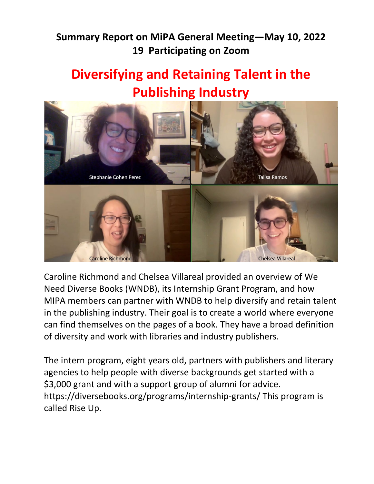# **Summary Report on MiPA General Meeting—May 10, 2022 19 Participating on Zoom**

# **Diversifying and Retaining Talent in the Publishing Industry**



Caroline Richmond and Chelsea Villareal provided an overview of We Need Diverse Books (WNDB), its Internship Grant Program, and how MIPA members can partner with WNDB to help diversify and retain talent in the publishing industry. Their goal is to create a world where everyone can find themselves on the pages of a book. They have a broad definition of diversity and work with libraries and industry publishers.

The intern program, eight years old, partners with publishers and literary agencies to help people with diverse backgrounds get started with a \$3,000 grant and with a support group of alumni for advice. <https://diversebooks.org/programs/internship-grants/> This program is called Rise Up.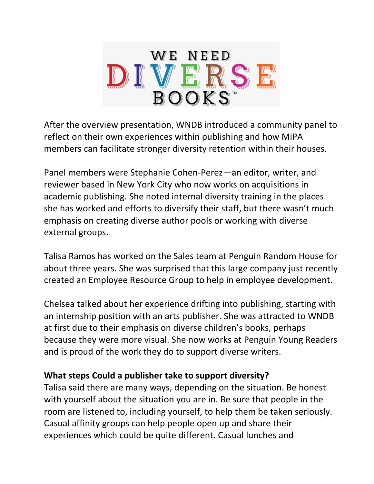

After the overview presentation, WNDB introduced a community panel to reflect on their own experiences within publishing and how MiPA members can facilitate stronger diversity retention within their houses.

Panel members were Stephanie Cohen-Perez—an editor, writer, and reviewer based in New York City who now works on acquisitions in academic publishing. She noted internal diversity training in the places she has worked and efforts to diversify their staff, but there wasn't much emphasis on creating diverse author pools or working with diverse external groups.

Talisa Ramos has worked on the Sales team at Penguin Random House for about three years. She was surprised that this large company just recently created an Employee Resource Group to help in employee development.

Chelsea talked about her experience drifting into publishing, starting with an internship position with an arts publisher. She was attracted to WNDB at first due to their emphasis on diverse children's books, perhaps because they were more visual. She now works at Penguin Young Readers and is proud of the work they do to support diverse writers.

#### **What steps Could a publisher take to support diversity?**

Talisa said there are many ways, depending on the situation. Be honest with yourself about the situation you are in. Be sure that people in the room are listened to, including yourself, to help them be taken seriously. Casual affinity groups can help people open up and share their experiences which could be quite different. Casual lunches and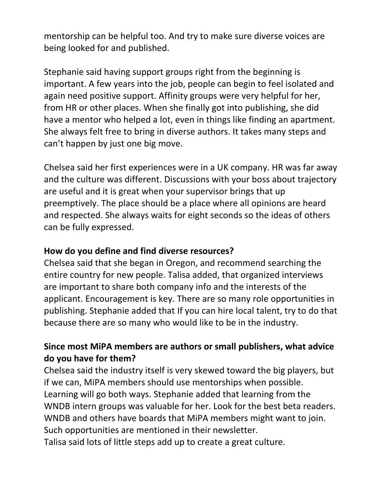mentorship can be helpful too. And try to make sure diverse voices are being looked for and published.

Stephanie said having support groups right from the beginning is important. A few years into the job, people can begin to feel isolated and again need positive support. Affinity groups were very helpful for her, from HR or other places. When she finally got into publishing, she did have a mentor who helped a lot, even in things like finding an apartment. She always felt free to bring in diverse authors. It takes many steps and can't happen by just one big move.

Chelsea said her first experiences were in a UK company. HR was far away and the culture was different. Discussions with your boss about trajectory are useful and it is great when your supervisor brings that up preemptively. The place should be a place where all opinions are heard and respected. She always waits for eight seconds so the ideas of others can be fully expressed.

#### **How do you define and find diverse resources?**

Chelsea said that she began in Oregon, and recommend searching the entire country for new people. Talisa added, that organized interviews are important to share both company info and the interests of the applicant. Encouragement is key. There are so many role opportunities in publishing. Stephanie added that If you can hire local talent, try to do that because there are so many who would like to be in the industry.

### **Since most MiPA members are authors or small publishers, what advice do you have for them?**

Chelsea said the industry itself is very skewed toward the big players, but if we can, MiPA members should use mentorships when possible. Learning will go both ways. Stephanie added that learning from the WNDB intern groups was valuable for her. Look for the best beta readers. WNDB and others have boards that MiPA members might want to join. Such opportunities are mentioned in their newsletter. Talisa said lots of little steps add up to create a great culture.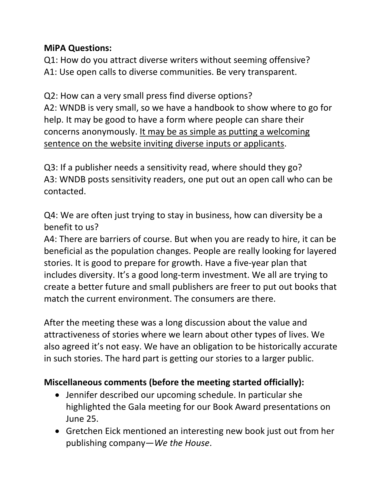## **MiPA Questions:**

Q1: How do you attract diverse writers without seeming offensive? A1: Use open calls to diverse communities. Be very transparent.

Q2: How can a very small press find diverse options? A2: WNDB is very small, so we have a handbook to show where to go for help. It may be good to have a form where people can share their concerns anonymously. It may be as simple as putting a welcoming sentence on the website inviting diverse inputs or applicants.

Q3: If a publisher needs a sensitivity read, where should they go? A3: WNDB posts sensitivity readers, one put out an open call who can be contacted.

Q4: We are often just trying to stay in business, how can diversity be a benefit to us?

A4: There are barriers of course. But when you are ready to hire, it can be beneficial as the population changes. People are really looking for layered stories. It is good to prepare for growth. Have a five-year plan that includes diversity. It's a good long-term investment. We all are trying to create a better future and small publishers are freer to put out books that match the current environment. The consumers are there.

After the meeting these was a long discussion about the value and attractiveness of stories where we learn about other types of lives. We also agreed it's not easy. We have an obligation to be historically accurate in such stories. The hard part is getting our stories to a larger public.

# **Miscellaneous comments (before the meeting started officially):**

- Jennifer described our upcoming schedule. In particular she highlighted the Gala meeting for our Book Award presentations on June 25.
- Gretchen Eick mentioned an interesting new book just out from her publishing company—*We the House*.